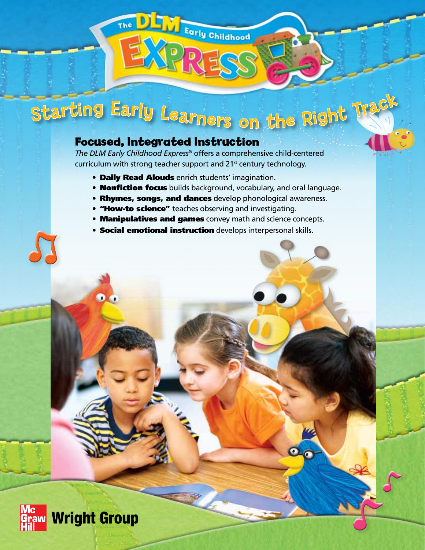# <sup>S</sup>ta<sup>r</sup>tin<sup>g</sup> <sup>E</sup>arl<sup>y</sup> <sup>L</sup><sup>e</sup>arner<sup>s</sup> <sup>o</sup><sup>n</sup> <sup>t</sup>h<sup>e</sup> <sup>R</sup>igh<sup>t</sup> <sup>T</sup>rac<sup>k</sup>

The DETY Early Childhood

### **Focused, Integrated Instruction**

*The DLM Early Childhood Express*® offers a comprehensive child-centered curriculum with strong teacher support and 21<sup>st</sup> century technology.

- Daily Read Alouds enrich students' imagination.
- **Nonfiction focus** builds background, vocabulary, and oral language.
- Rhymes, songs, and dances develop phonological awareness.
- "How-to science" teaches observing and investigating.
- Manipulatives and games convey math and science concepts.
- **Social emotional instruction** develops interpersonal skills.



 $\bullet$